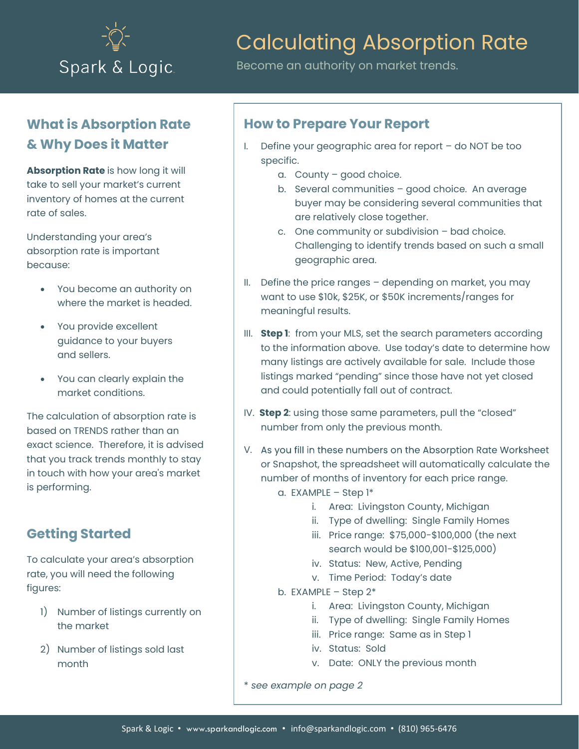

# Calculating Absorption Rate

Become an authority on market trends.

## **What is Absorption Rate & Why Does it Matter**

**Absorption Rate** is how long it will take to sell your market's current inventory of homes at the current rate of sales.

Understanding your area's absorption rate is important because:

- You become an authority on where the market is headed.
- You provide excellent guidance to your buyers and sellers.
- You can clearly explain the market conditions.

The calculation of absorption rate is based on TRENDS rather than an exact science. Therefore, it is advised that you track trends monthly to stay in touch with how your area's market is performing.

## **Getting Started**

To calculate your area's absorption rate, you will need the following figures:

- 1) Number of listings currently on the market
- 2) Number of listings sold last month

#### **How to Prepare Your Report**

- I. Define your geographic area for report do NOT be too specific.
	- a. County good choice.
	- b. Several communities good choice. An average buyer may be considering several communities that are relatively close together.
	- c. One community or subdivision bad choice. Challenging to identify trends based on such a small geographic area.
- II. Define the price ranges depending on market, you may want to use \$10k, \$25K, or \$50K increments/ranges for meaningful results.
- III. **Step 1**: from your MLS, set the search parameters according to the information above. Use today's date to determine how many listings are actively available for sale. Include those listings marked "pending" since those have not yet closed and could potentially fall out of contract.
- IV. **Step 2**: using those same parameters, pull the "closed" number from only the previous month.
- V. As you fill in these numbers on the Absorption Rate Worksheet or Snapshot, the spreadsheet will automatically calculate the number of months of inventory for each price range.
	- a. EXAMPLE Step  $1^*$ 
		- i. Area: Livingston County, Michigan
		- ii. Type of dwelling: Single Family Homes
		- iii. Price range: \$75,000-\$100,000 (the next search would be \$100,001-\$125,000)
		- iv. Status: New, Active, Pending
		- v. Time Period: Today's date
	- b. EXAMPLE Step  $2^*$ 
		- i. Area: Livingston County, Michigan
		- ii. Type of dwelling: Single Family Homes
		- iii. Price range: Same as in Step 1
		- iv. Status: Sold
		- v. Date: ONLY the previous month

\* *see example on page 2*